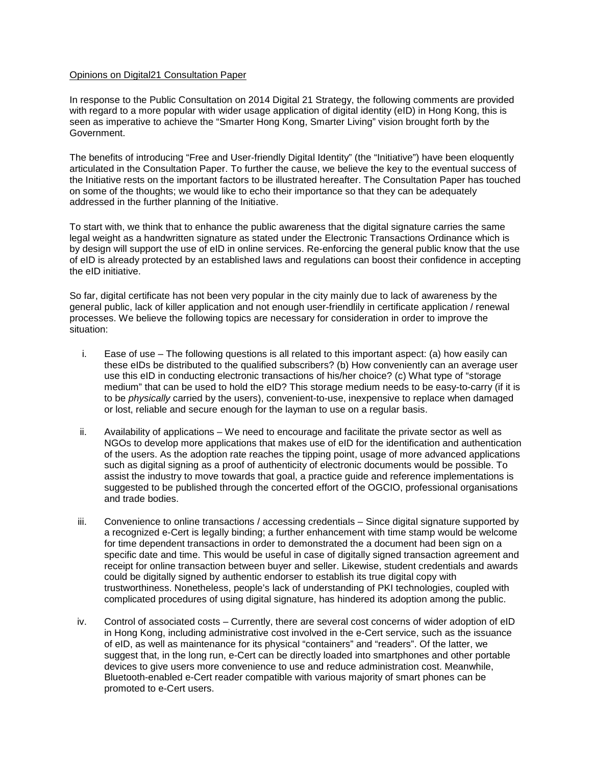## Opinions on Digital21 Consultation Paper

In response to the Public Consultation on 2014 Digital 21 Strategy, the following comments are provided with regard to a more popular with wider usage application of digital identity (eID) in Hong Kong, this is seen as imperative to achieve the "Smarter Hong Kong, Smarter Living" vision brought forth by the Government.

The benefits of introducing "Free and User-friendly Digital Identity" (the "Initiative") have been eloquently articulated in the Consultation Paper. To further the cause, we believe the key to the eventual success of the Initiative rests on the important factors to be illustrated hereafter. The Consultation Paper has touched on some of the thoughts; we would like to echo their importance so that they can be adequately addressed in the further planning of the Initiative.

To start with, we think that to enhance the public awareness that the digital signature carries the same legal weight as a handwritten signature as stated under the Electronic Transactions Ordinance which is by design will support the use of eID in online services. Re-enforcing the general public know that the use of eID is already protected by an established laws and regulations can boost their confidence in accepting the eID initiative.

So far, digital certificate has not been very popular in the city mainly due to lack of awareness by the general public, lack of killer application and not enough user-friendlily in certificate application / renewal processes. We believe the following topics are necessary for consideration in order to improve the situation:

- i. Ease of use The following questions is all related to this important aspect: (a) how easily can these eIDs be distributed to the qualified subscribers? (b) How conveniently can an average user use this eID in conducting electronic transactions of his/her choice? (c) What type of "storage medium" that can be used to hold the eID? This storage medium needs to be easy-to-carry (if it is to be *physically* carried by the users), convenient-to-use, inexpensive to replace when damaged or lost, reliable and secure enough for the layman to use on a regular basis.
- ii. Availability of applications We need to encourage and facilitate the private sector as well as NGOs to develop more applications that makes use of eID for the identification and authentication of the users. As the adoption rate reaches the tipping point, usage of more advanced applications such as digital signing as a proof of authenticity of electronic documents would be possible. To assist the industry to move towards that goal, a practice guide and reference implementations is suggested to be published through the concerted effort of the OGCIO, professional organisations and trade bodies.
- iii. Convenience to online transactions / accessing credentials Since digital signature supported by a recognized e-Cert is legally binding; a further enhancement with time stamp would be welcome for time dependent transactions in order to demonstrated the a document had been sign on a specific date and time. This would be useful in case of digitally signed transaction agreement and receipt for online transaction between buyer and seller. Likewise, student credentials and awards could be digitally signed by authentic endorser to establish its true digital copy with trustworthiness. Nonetheless, people's lack of understanding of PKI technologies, coupled with complicated procedures of using digital signature, has hindered its adoption among the public.
- iv. Control of associated costs Currently, there are several cost concerns of wider adoption of eID in Hong Kong, including administrative cost involved in the e-Cert service, such as the issuance of eID, as well as maintenance for its physical "containers" and "readers". Of the latter, we suggest that, in the long run, e-Cert can be directly loaded into smartphones and other portable devices to give users more convenience to use and reduce administration cost. Meanwhile, Bluetooth-enabled e-Cert reader compatible with various majority of smart phones can be promoted to e-Cert users.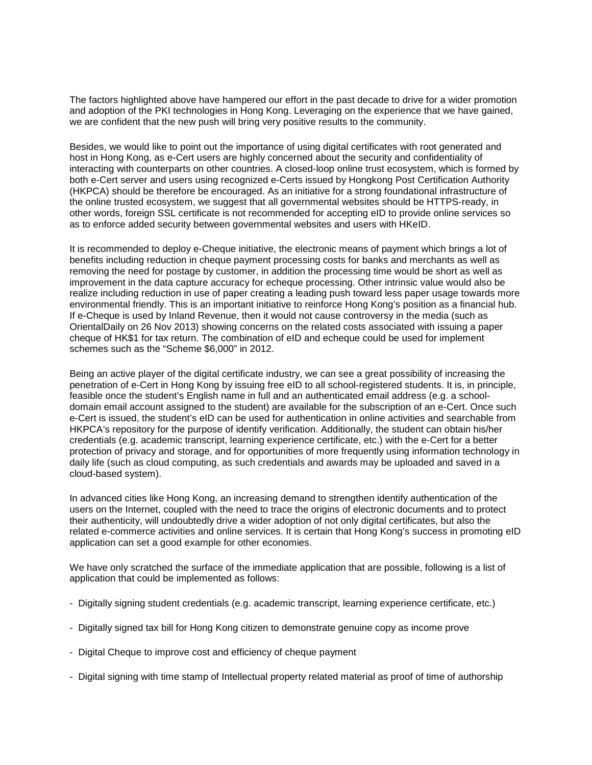The factors highlighted above have hampered our effort in the past decade to drive for a wider promotion and adoption of the PKI technologies in Hong Kong. Leveraging on the experience that we have gained, we are confident that the new push will bring very positive results to the community.

Besides, we would like to point out the importance of using digital certificates with root generated and host in Hong Kong, as e-Cert users are highly concerned about the security and confidentiality of interacting with counterparts on other countries. A closed-loop online trust ecosystem, which is formed by both e-Cert server and users using recognized e-Certs issued by Hongkong Post Certification Authority (HKPCA) should be therefore be encouraged. As an initiative for a strong foundational infrastructure of the online trusted ecosystem, we suggest that all governmental websites should be HTTPS-ready, in other words, foreign SSL certificate is not recommended for accepting eID to provide online services so as to enforce added security between governmental websites and users with HKeID.

It is recommended to deploy e-Cheque initiative, the electronic means of payment which brings a lot of benefits including reduction in cheque payment processing costs for banks and merchants as well as removing the need for postage by customer, in addition the processing time would be short as well as improvement in the data capture accuracy for echeque processing. Other intrinsic value would also be realize including reduction in use of paper creating a leading push toward less paper usage towards more environmental friendly. This is an important initiative to reinforce Hong Kong's position as a financial hub. If e-Cheque is used by Inland Revenue, then it would not cause controversy in the media (such as OrientalDaily on 26 Nov 2013) showing concerns on the related costs associated with issuing a paper cheque of HK\$1 for tax return. The combination of eID and echeque could be used for implement schemes such as the "Scheme \$6,000" in 2012.

Being an active player of the digital certificate industry, we can see a great possibility of increasing the penetration of e-Cert in Hong Kong by issuing free eID to all school-registered students. It is, in principle, feasible once the student's English name in full and an authenticated email address (e.g. a schooldomain email account assigned to the student) are available for the subscription of an e-Cert. Once such e-Cert is issued, the student's eID can be used for authentication in online activities and searchable from HKPCA's repository for the purpose of identify verification. Additionally, the student can obtain his/her credentials (e.g. academic transcript, learning experience certificate, etc.) with the e-Cert for a better protection of privacy and storage, and for opportunities of more frequently using information technology in daily life (such as cloud computing, as such credentials and awards may be uploaded and saved in a cloud-based system).

In advanced cities like Hong Kong, an increasing demand to strengthen identify authentication of the users on the Internet, coupled with the need to trace the origins of electronic documents and to protect their authenticity, will undoubtedly drive a wider adoption of not only digital certificates, but also the related e-commerce activities and online services. It is certain that Hong Kong's success in promoting eID application can set a good example for other economies.

We have only scratched the surface of the immediate application that are possible, following is a list of application that could be implemented as follows:

- Digitally signing student credentials (e.g. academic transcript, learning experience certificate, etc.)
- Digitally signed tax bill for Hong Kong citizen to demonstrate genuine copy as income prove
- Digital Cheque to improve cost and efficiency of cheque payment
- Digital signing with time stamp of Intellectual property related material as proof of time of authorship